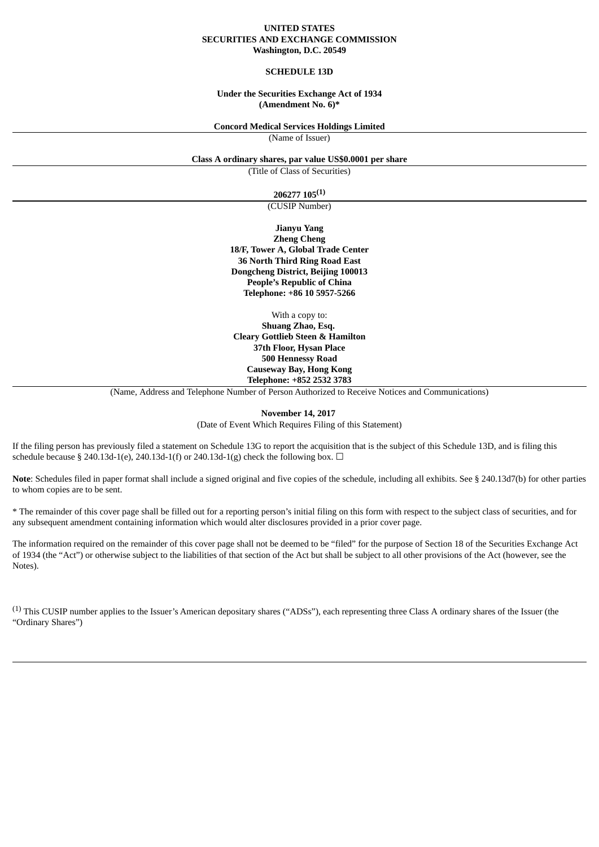#### **UNITED STATES SECURITIES AND EXCHANGE COMMISSION Washington, D.C. 20549**

#### **SCHEDULE 13D**

#### **Under the Securities Exchange Act of 1934 (Amendment No. 6)\***

#### **Concord Medical Services Holdings Limited**

(Name of Issuer)

**Class A ordinary shares, par value US\$0.0001 per share**

(Title of Class of Securities)

### **206277 105 (1)**

(CUSIP Number)

**Jianyu Yang Zheng Cheng 18/F, Tower A, Global Trade Center 36 North Third Ring Road East Dongcheng District, Beijing 100013 People's Republic of China Telephone: +86 10 5957-5266**

With a copy to: **Shuang Zhao, Esq. Cleary Gottlieb Steen & Hamilton 37th Floor, Hysan Place 500 Hennessy Road Causeway Bay, Hong Kong Telephone: +852 2532 3783**

(Name, Address and Telephone Number of Person Authorized to Receive Notices and Communications)

#### **November 14, 2017** (Date of Event Which Requires Filing of this Statement)

If the filing person has previously filed a statement on Schedule 13G to report the acquisition that is the subject of this Schedule 13D, and is filing this schedule because § 240.13d-1(e), 240.13d-1(f) or 240.13d-1(g) check the following box.  $\Box$ 

**Note**: Schedules filed in paper format shall include a signed original and five copies of the schedule, including all exhibits. See § 240.13d7(b) for other parties to whom copies are to be sent.

\* The remainder of this cover page shall be filled out for a reporting person's initial filing on this form with respect to the subject class of securities, and for any subsequent amendment containing information which would alter disclosures provided in a prior cover page.

The information required on the remainder of this cover page shall not be deemed to be "filed" for the purpose of Section 18 of the Securities Exchange Act of 1934 (the "Act") or otherwise subject to the liabilities of that section of the Act but shall be subject to all other provisions of the Act (however, see the Notes).

(1) This CUSIP number applies to the Issuer's American depositary shares ("ADSs"), each representing three Class A ordinary shares of the Issuer (the "Ordinary Shares")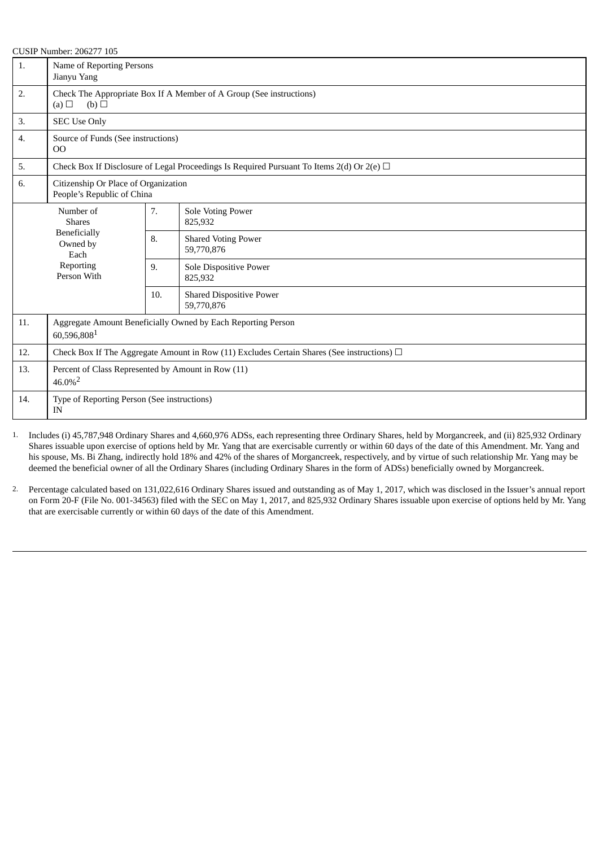| 1.               | Name of Reporting Persons<br>Jianyu Yang                                                          |                                                                     |                                                                                                |  |  |
|------------------|---------------------------------------------------------------------------------------------------|---------------------------------------------------------------------|------------------------------------------------------------------------------------------------|--|--|
| 2.               | (a) $\Box$<br>$(b)$ $\square$                                                                     | Check The Appropriate Box If A Member of A Group (See instructions) |                                                                                                |  |  |
| 3.               | <b>SEC Use Only</b>                                                                               |                                                                     |                                                                                                |  |  |
| $\overline{4}$ . | Source of Funds (See instructions)<br>OO                                                          |                                                                     |                                                                                                |  |  |
| 5.               |                                                                                                   |                                                                     | Check Box If Disclosure of Legal Proceedings Is Required Pursuant To Items 2(d) Or 2(e) $\Box$ |  |  |
| 6.               | Citizenship Or Place of Organization<br>People's Republic of China                                |                                                                     |                                                                                                |  |  |
|                  | Number of<br><b>Shares</b><br><b>Beneficially</b><br>Owned by<br>Each<br>Reporting<br>Person With | 7.                                                                  | <b>Sole Voting Power</b><br>825,932                                                            |  |  |
|                  |                                                                                                   | 8.                                                                  | <b>Shared Voting Power</b><br>59,770,876                                                       |  |  |
|                  |                                                                                                   | 9.                                                                  | Sole Dispositive Power<br>825,932                                                              |  |  |
|                  |                                                                                                   | 10.                                                                 | <b>Shared Dispositive Power</b><br>59,770,876                                                  |  |  |
| 11.              | Aggregate Amount Beneficially Owned by Each Reporting Person<br>60,596,8081                       |                                                                     |                                                                                                |  |  |
| 12.              | Check Box If The Aggregate Amount in Row (11) Excludes Certain Shares (See instructions) $\Box$   |                                                                     |                                                                                                |  |  |
| 13.              | Percent of Class Represented by Amount in Row (11)<br>$46.0\%$ <sup>2</sup>                       |                                                                     |                                                                                                |  |  |
| 14.              | Type of Reporting Person (See instructions)<br>IN                                                 |                                                                     |                                                                                                |  |  |

1. Includes (i) 45,787,948 Ordinary Shares and 4,660,976 ADSs, each representing three Ordinary Shares, held by Morgancreek, and (ii) 825,932 Ordinary Shares issuable upon exercise of options held by Mr. Yang that are exercisable currently or within 60 days of the date of this Amendment. Mr. Yang and his spouse, Ms. Bi Zhang, indirectly hold 18% and 42% of the shares of Morgancreek, respectively, and by virtue of such relationship Mr. Yang may be deemed the beneficial owner of all the Ordinary Shares (including Ordinary Shares in the form of ADSs) beneficially owned by Morgancreek.

2. Percentage calculated based on 131,022,616 Ordinary Shares issued and outstanding as of May 1, 2017, which was disclosed in the Issuer's annual report on Form 20-F (File No. 001-34563) filed with the SEC on May 1, 2017, and 825,932 Ordinary Shares issuable upon exercise of options held by Mr. Yang that are exercisable currently or within 60 days of the date of this Amendment.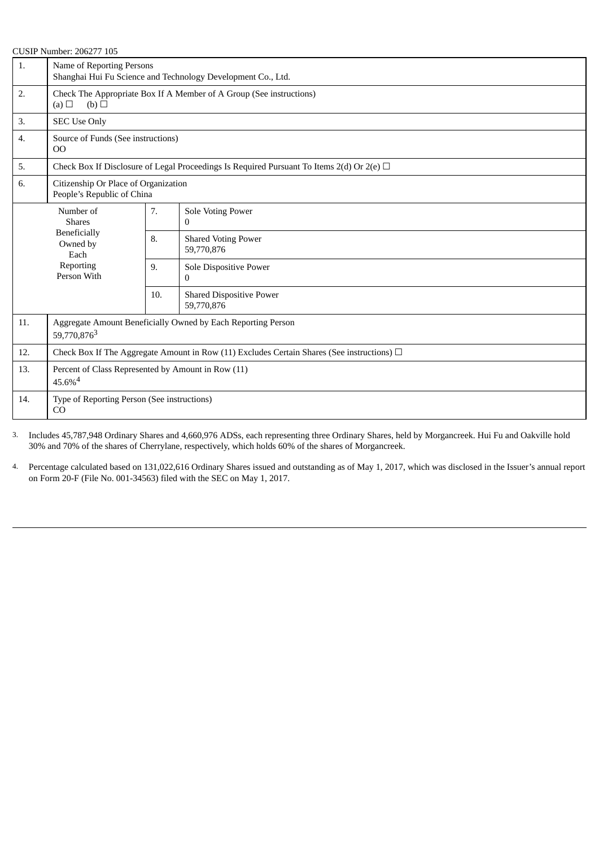| רחיון וואחווחבוי לחח <i>דו ז</i> וחי<br>1. | Name of Reporting Persons<br>Shanghai Hui Fu Science and Technology Development Co., Ltd.       |                                                                     |                                                                                                |  |  |
|--------------------------------------------|-------------------------------------------------------------------------------------------------|---------------------------------------------------------------------|------------------------------------------------------------------------------------------------|--|--|
| 2.                                         | $(a)$ $\square$<br>(b)                                                                          | Check The Appropriate Box If A Member of A Group (See instructions) |                                                                                                |  |  |
| 3.                                         | <b>SEC Use Only</b>                                                                             |                                                                     |                                                                                                |  |  |
| 4.                                         | Source of Funds (See instructions)<br>$00\,$                                                    |                                                                     |                                                                                                |  |  |
| 5.                                         |                                                                                                 |                                                                     | Check Box If Disclosure of Legal Proceedings Is Required Pursuant To Items 2(d) Or 2(e) $\Box$ |  |  |
| 6.                                         | Citizenship Or Place of Organization<br>People's Republic of China                              |                                                                     |                                                                                                |  |  |
|                                            | Number of<br><b>Shares</b><br><b>Beneficially</b><br>Owned by<br>Each                           |                                                                     | <b>Sole Voting Power</b><br>0                                                                  |  |  |
|                                            |                                                                                                 |                                                                     | <b>Shared Voting Power</b><br>59,770,876                                                       |  |  |
|                                            | Reporting<br>Person With                                                                        | 9.                                                                  | Sole Dispositive Power<br>0                                                                    |  |  |
|                                            |                                                                                                 | 10.                                                                 | <b>Shared Dispositive Power</b><br>59,770,876                                                  |  |  |
| 11.                                        | Aggregate Amount Beneficially Owned by Each Reporting Person<br>59,770,8763                     |                                                                     |                                                                                                |  |  |
| 12.                                        | Check Box If The Aggregate Amount in Row (11) Excludes Certain Shares (See instructions) $\Box$ |                                                                     |                                                                                                |  |  |
| 13.                                        | Percent of Class Represented by Amount in Row (11)<br>$45.6\%^{4}$                              |                                                                     |                                                                                                |  |  |
| 14.                                        | Type of Reporting Person (See instructions)<br>CO                                               |                                                                     |                                                                                                |  |  |

3. Includes 45,787,948 Ordinary Shares and 4,660,976 ADSs, each representing three Ordinary Shares, held by Morgancreek. Hui Fu and Oakville hold 30% and 70% of the shares of Cherrylane, respectively, which holds 60% of the shares of Morgancreek.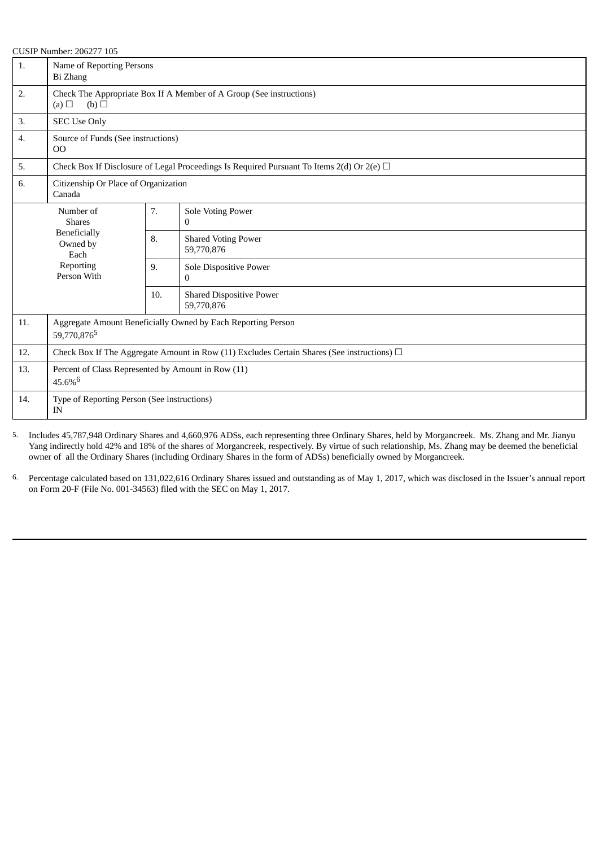| 1.  | Name of Reporting Persons<br>Bi Zhang                                                           |                                                                     |                                                                                                |  |  |
|-----|-------------------------------------------------------------------------------------------------|---------------------------------------------------------------------|------------------------------------------------------------------------------------------------|--|--|
| 2.  | (b)<br>(a) $\Box$                                                                               | Check The Appropriate Box If A Member of A Group (See instructions) |                                                                                                |  |  |
| 3.  | <b>SEC Use Only</b>                                                                             |                                                                     |                                                                                                |  |  |
| 4.  | Source of Funds (See instructions)<br>O <sub>O</sub>                                            |                                                                     |                                                                                                |  |  |
| 5.  |                                                                                                 |                                                                     | Check Box If Disclosure of Legal Proceedings Is Required Pursuant To Items 2(d) Or 2(e) $\Box$ |  |  |
| 6.  | Citizenship Or Place of Organization<br>Canada                                                  |                                                                     |                                                                                                |  |  |
|     | Number of<br><b>Shares</b>                                                                      | 7.                                                                  | Sole Voting Power<br>$\overline{0}$                                                            |  |  |
|     | <b>Beneficially</b><br>Owned by<br>Each                                                         |                                                                     | <b>Shared Voting Power</b><br>59,770,876                                                       |  |  |
|     | Reporting<br>Person With                                                                        | 9.                                                                  | Sole Dispositive Power<br>0                                                                    |  |  |
|     |                                                                                                 | 10.                                                                 | <b>Shared Dispositive Power</b><br>59,770,876                                                  |  |  |
| 11. | Aggregate Amount Beneficially Owned by Each Reporting Person<br>59,770,876 <sup>5</sup>         |                                                                     |                                                                                                |  |  |
| 12. | Check Box If The Aggregate Amount in Row (11) Excludes Certain Shares (See instructions) $\Box$ |                                                                     |                                                                                                |  |  |
| 13. | Percent of Class Represented by Amount in Row (11)<br>$45.6\%$ <sup>6</sup>                     |                                                                     |                                                                                                |  |  |
| 14. | Type of Reporting Person (See instructions)<br><b>IN</b>                                        |                                                                     |                                                                                                |  |  |

5. Includes 45,787,948 Ordinary Shares and 4,660,976 ADSs, each representing three Ordinary Shares, held by Morgancreek. Ms. Zhang and Mr. Jianyu Yang indirectly hold 42% and 18% of the shares of Morgancreek, respectively. By virtue of such relationship, Ms. Zhang may be deemed the beneficial owner of all the Ordinary Shares (including Ordinary Shares in the form of ADSs) beneficially owned by Morgancreek.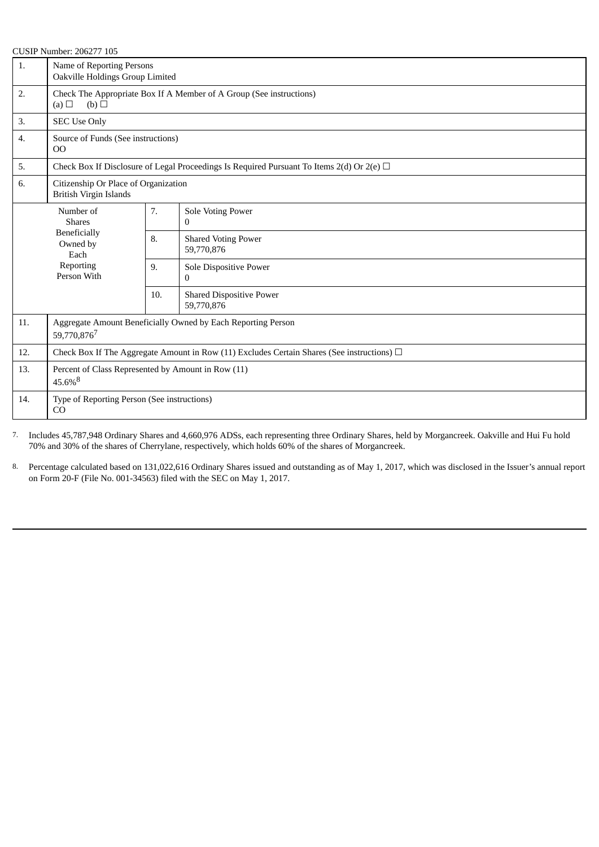|     | <b>CUSIP Number: 206277 105</b>                                                                 |                                                                     |                                                                                                |  |  |
|-----|-------------------------------------------------------------------------------------------------|---------------------------------------------------------------------|------------------------------------------------------------------------------------------------|--|--|
| 1.  |                                                                                                 | Name of Reporting Persons<br>Oakville Holdings Group Limited        |                                                                                                |  |  |
| 2.  | (b)<br>(a) $\Box$                                                                               | Check The Appropriate Box If A Member of A Group (See instructions) |                                                                                                |  |  |
| 3.  | <b>SEC Use Only</b>                                                                             |                                                                     |                                                                                                |  |  |
| 4.  | Source of Funds (See instructions)<br><sub>OO</sub>                                             |                                                                     |                                                                                                |  |  |
| 5.  |                                                                                                 |                                                                     | Check Box If Disclosure of Legal Proceedings Is Required Pursuant To Items 2(d) Or 2(e) $\Box$ |  |  |
| 6.  | Citizenship Or Place of Organization<br><b>British Virgin Islands</b>                           |                                                                     |                                                                                                |  |  |
|     | Number of<br><b>Shares</b><br><b>Beneficially</b><br>Owned by<br>Each                           |                                                                     | Sole Voting Power<br>$\Omega$                                                                  |  |  |
|     |                                                                                                 |                                                                     | <b>Shared Voting Power</b><br>59,770,876                                                       |  |  |
|     | Reporting<br>Person With                                                                        | 9.                                                                  | Sole Dispositive Power<br>$\mathbf{0}$                                                         |  |  |
|     |                                                                                                 | 10.                                                                 | <b>Shared Dispositive Power</b><br>59,770,876                                                  |  |  |
| 11. | Aggregate Amount Beneficially Owned by Each Reporting Person<br>59,770,8767                     |                                                                     |                                                                                                |  |  |
| 12. | Check Box If The Aggregate Amount in Row (11) Excludes Certain Shares (See instructions) $\Box$ |                                                                     |                                                                                                |  |  |
| 13. | Percent of Class Represented by Amount in Row (11)<br>45.6%8                                    |                                                                     |                                                                                                |  |  |
| 14. | Type of Reporting Person (See instructions)<br>CO                                               |                                                                     |                                                                                                |  |  |

7. Includes 45,787,948 Ordinary Shares and 4,660,976 ADSs, each representing three Ordinary Shares, held by Morgancreek. Oakville and Hui Fu hold 70% and 30% of the shares of Cherrylane, respectively, which holds 60% of the shares of Morgancreek.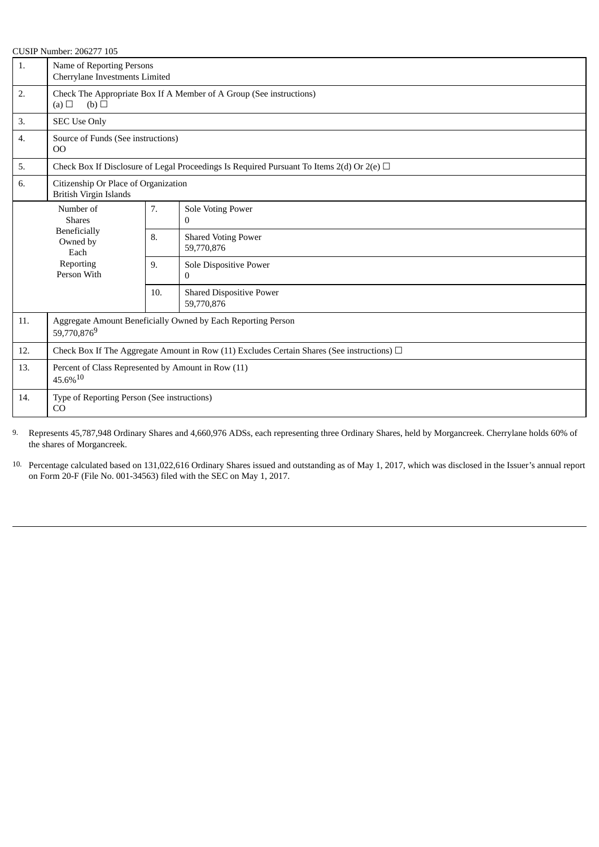|     | <b>CUSIP Number: 206277 105</b>                                                                 |                                                                     |                                                                                                |  |  |
|-----|-------------------------------------------------------------------------------------------------|---------------------------------------------------------------------|------------------------------------------------------------------------------------------------|--|--|
| 1.  | Name of Reporting Persons<br>Cherrylane Investments Limited                                     |                                                                     |                                                                                                |  |  |
| 2.  | (b)<br>(a)                                                                                      | Check The Appropriate Box If A Member of A Group (See instructions) |                                                                                                |  |  |
| 3.  | <b>SEC Use Only</b>                                                                             |                                                                     |                                                                                                |  |  |
| 4.  | Source of Funds (See instructions)<br>$00\,$                                                    |                                                                     |                                                                                                |  |  |
| 5.  |                                                                                                 |                                                                     | Check Box If Disclosure of Legal Proceedings Is Required Pursuant To Items 2(d) Or 2(e) $\Box$ |  |  |
| 6.  | Citizenship Or Place of Organization<br><b>British Virgin Islands</b>                           |                                                                     |                                                                                                |  |  |
|     | Number of<br><b>Shares</b><br><b>Beneficially</b><br>Owned by<br>Each                           |                                                                     | Sole Voting Power<br>$\Omega$                                                                  |  |  |
|     |                                                                                                 |                                                                     | <b>Shared Voting Power</b><br>59,770,876                                                       |  |  |
|     | Reporting<br>Person With                                                                        | 9.                                                                  | Sole Dispositive Power<br>$\mathbf{0}$                                                         |  |  |
|     |                                                                                                 | 10.                                                                 | <b>Shared Dispositive Power</b><br>59,770,876                                                  |  |  |
| 11. | Aggregate Amount Beneficially Owned by Each Reporting Person<br>59,770,8769                     |                                                                     |                                                                                                |  |  |
| 12. | Check Box If The Aggregate Amount in Row (11) Excludes Certain Shares (See instructions) $\Box$ |                                                                     |                                                                                                |  |  |
| 13. | Percent of Class Represented by Amount in Row (11)<br>45.6%10                                   |                                                                     |                                                                                                |  |  |
| 14. | Type of Reporting Person (See instructions)<br>CO                                               |                                                                     |                                                                                                |  |  |

9. Represents 45,787,948 Ordinary Shares and 4,660,976 ADSs, each representing three Ordinary Shares, held by Morgancreek. Cherrylane holds 60% of the shares of Morgancreek.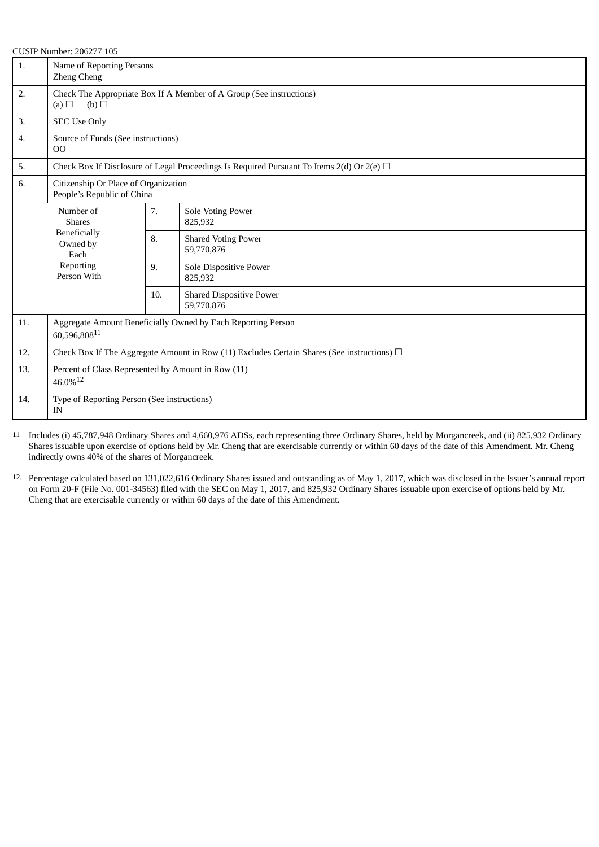| 1.  | Name of Reporting Persons<br><b>Zheng Cheng</b>                                                 |                                                                     |                                                                                                |  |  |
|-----|-------------------------------------------------------------------------------------------------|---------------------------------------------------------------------|------------------------------------------------------------------------------------------------|--|--|
| 2.  | (b)<br>(a) $\Box$                                                                               | Check The Appropriate Box If A Member of A Group (See instructions) |                                                                                                |  |  |
| 3.  | <b>SEC Use Only</b>                                                                             |                                                                     |                                                                                                |  |  |
| 4.  | Source of Funds (See instructions)<br>$00\,$                                                    |                                                                     |                                                                                                |  |  |
| 5.  |                                                                                                 |                                                                     | Check Box If Disclosure of Legal Proceedings Is Required Pursuant To Items 2(d) Or 2(e) $\Box$ |  |  |
| 6.  | Citizenship Or Place of Organization<br>People's Republic of China                              |                                                                     |                                                                                                |  |  |
|     | Number of<br><b>Shares</b>                                                                      | 7.                                                                  | <b>Sole Voting Power</b><br>825,932                                                            |  |  |
|     | <b>Beneficially</b><br>Owned by<br>Each                                                         |                                                                     | <b>Shared Voting Power</b><br>59,770,876                                                       |  |  |
|     | Reporting<br>Person With                                                                        | 9.                                                                  | Sole Dispositive Power<br>825,932                                                              |  |  |
|     |                                                                                                 | 10.                                                                 | <b>Shared Dispositive Power</b><br>59,770,876                                                  |  |  |
| 11. | Aggregate Amount Beneficially Owned by Each Reporting Person<br>60,596,80811                    |                                                                     |                                                                                                |  |  |
| 12. | Check Box If The Aggregate Amount in Row (11) Excludes Certain Shares (See instructions) $\Box$ |                                                                     |                                                                                                |  |  |
| 13. | Percent of Class Represented by Amount in Row (11)<br>$46.0\%$ <sup>12</sup>                    |                                                                     |                                                                                                |  |  |
| 14. | Type of Reporting Person (See instructions)<br>IN                                               |                                                                     |                                                                                                |  |  |

11 Includes (i) 45,787,948 Ordinary Shares and 4,660,976 ADSs, each representing three Ordinary Shares, held by Morgancreek, and (ii) 825,932 Ordinary Shares issuable upon exercise of options held by Mr. Cheng that are exercisable currently or within 60 days of the date of this Amendment. Mr. Cheng indirectly owns 40% of the shares of Morgancreek.

12. Percentage calculated based on 131,022,616 Ordinary Shares issued and outstanding as of May 1, 2017, which was disclosed in the Issuer's annual report on Form 20-F (File No. 001-34563) filed with the SEC on May 1, 2017, and 825,932 Ordinary Shares issuable upon exercise of options held by Mr. Cheng that are exercisable currently or within 60 days of the date of this Amendment.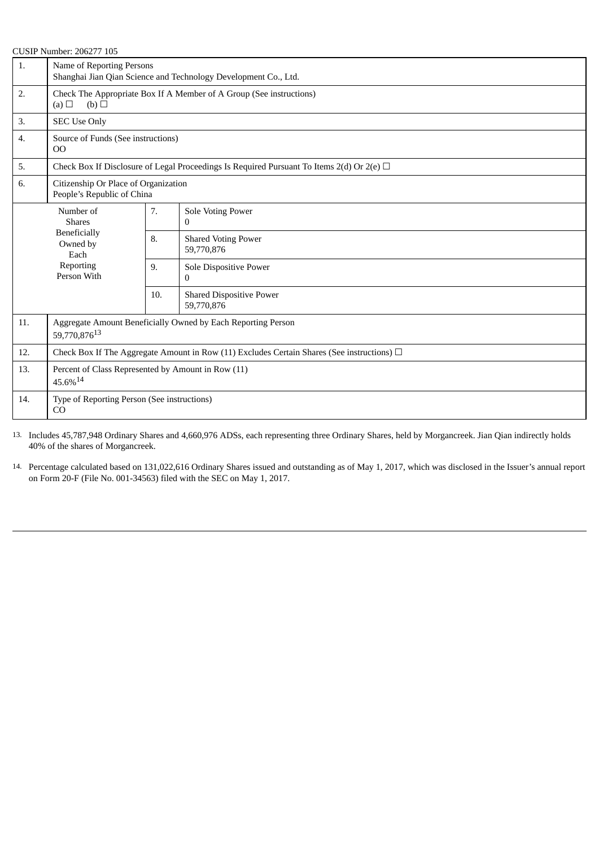| 1.  | CO9II INUMBEL.Z00277 IOJ                                                                        | Name of Reporting Persons<br>Shanghai Jian Qian Science and Technology Development Co., Ltd. |                                                                                                |  |  |
|-----|-------------------------------------------------------------------------------------------------|----------------------------------------------------------------------------------------------|------------------------------------------------------------------------------------------------|--|--|
| 2.  | (a)<br>(b)                                                                                      | Check The Appropriate Box If A Member of A Group (See instructions)                          |                                                                                                |  |  |
| 3.  | <b>SEC Use Only</b>                                                                             |                                                                                              |                                                                                                |  |  |
| 4.  | Source of Funds (See instructions)<br>OO                                                        |                                                                                              |                                                                                                |  |  |
| 5.  |                                                                                                 |                                                                                              | Check Box If Disclosure of Legal Proceedings Is Required Pursuant To Items 2(d) Or 2(e) $\Box$ |  |  |
| 6.  | Citizenship Or Place of Organization<br>People's Republic of China                              |                                                                                              |                                                                                                |  |  |
|     | Number of<br><b>Shares</b>                                                                      | 7.                                                                                           | Sole Voting Power<br>$\Omega$                                                                  |  |  |
|     | <b>Beneficially</b><br>Owned by<br>Each                                                         | 8.                                                                                           | <b>Shared Voting Power</b><br>59,770,876                                                       |  |  |
|     | Reporting<br>Person With                                                                        | 9.                                                                                           | Sole Dispositive Power<br>$\bf{0}$                                                             |  |  |
|     |                                                                                                 | 10.                                                                                          | <b>Shared Dispositive Power</b><br>59,770,876                                                  |  |  |
| 11. | Aggregate Amount Beneficially Owned by Each Reporting Person<br>59,770,87613                    |                                                                                              |                                                                                                |  |  |
| 12. | Check Box If The Aggregate Amount in Row (11) Excludes Certain Shares (See instructions) $\Box$ |                                                                                              |                                                                                                |  |  |
| 13. | Percent of Class Represented by Amount in Row (11)<br>45.6%14                                   |                                                                                              |                                                                                                |  |  |
| 14. | Type of Reporting Person (See instructions)<br>CO                                               |                                                                                              |                                                                                                |  |  |

13. Includes 45,787,948 Ordinary Shares and 4,660,976 ADSs, each representing three Ordinary Shares, held by Morgancreek. Jian Qian indirectly holds 40% of the shares of Morgancreek.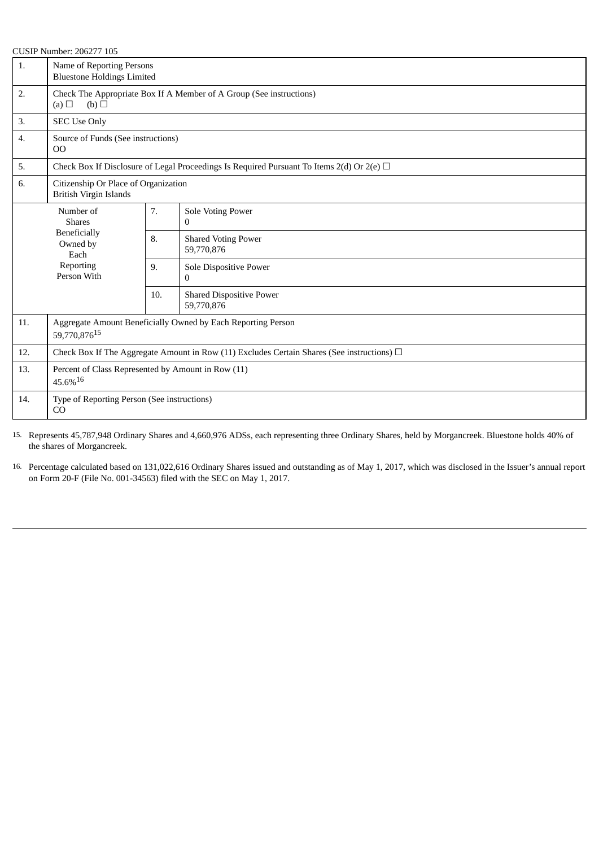|     | <b>CUSIP Number: 206277 105</b>                                                                 |                                                                     |                                                                                                |  |  |
|-----|-------------------------------------------------------------------------------------------------|---------------------------------------------------------------------|------------------------------------------------------------------------------------------------|--|--|
| 1.  | Name of Reporting Persons<br><b>Bluestone Holdings Limited</b>                                  |                                                                     |                                                                                                |  |  |
| 2.  | (b)<br>(a) $\Box$                                                                               | Check The Appropriate Box If A Member of A Group (See instructions) |                                                                                                |  |  |
| 3.  | <b>SEC Use Only</b>                                                                             |                                                                     |                                                                                                |  |  |
| 4.  | Source of Funds (See instructions)<br>$00\,$                                                    |                                                                     |                                                                                                |  |  |
| 5.  |                                                                                                 |                                                                     | Check Box If Disclosure of Legal Proceedings Is Required Pursuant To Items 2(d) Or 2(e) $\Box$ |  |  |
| 6.  | Citizenship Or Place of Organization<br><b>British Virgin Islands</b>                           |                                                                     |                                                                                                |  |  |
|     | Number of<br><b>Shares</b>                                                                      | 7.                                                                  | Sole Voting Power<br>$\Omega$                                                                  |  |  |
|     | Beneficially<br>Owned by<br>Each                                                                | 8.                                                                  | <b>Shared Voting Power</b><br>59,770,876                                                       |  |  |
|     | Reporting<br>Person With                                                                        | 9.                                                                  | Sole Dispositive Power<br>0                                                                    |  |  |
|     |                                                                                                 | 10.                                                                 | <b>Shared Dispositive Power</b><br>59,770,876                                                  |  |  |
| 11. | Aggregate Amount Beneficially Owned by Each Reporting Person<br>59,770,87615                    |                                                                     |                                                                                                |  |  |
| 12. | Check Box If The Aggregate Amount in Row (11) Excludes Certain Shares (See instructions) $\Box$ |                                                                     |                                                                                                |  |  |
| 13. | Percent of Class Represented by Amount in Row (11)<br>45.6%16                                   |                                                                     |                                                                                                |  |  |
| 14. | Type of Reporting Person (See instructions)<br>CO                                               |                                                                     |                                                                                                |  |  |

15. Represents 45,787,948 Ordinary Shares and 4,660,976 ADSs, each representing three Ordinary Shares, held by Morgancreek. Bluestone holds 40% of the shares of Morgancreek.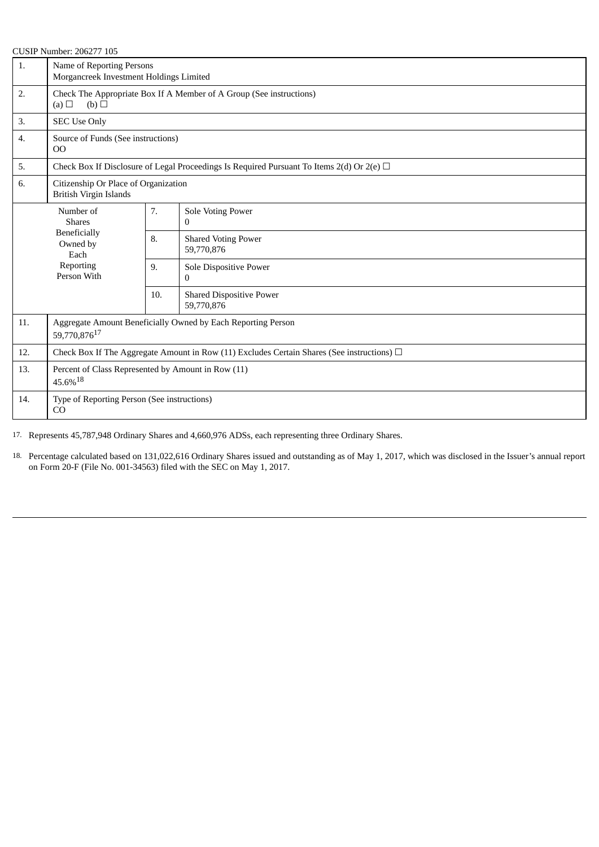| 1.  | Name of Reporting Persons<br>Morgancreek Investment Holdings Limited                            |     |                                                                                                |  |
|-----|-------------------------------------------------------------------------------------------------|-----|------------------------------------------------------------------------------------------------|--|
| 2.  | Check The Appropriate Box If A Member of A Group (See instructions)<br>(a) $\Box$<br>(b)        |     |                                                                                                |  |
| 3.  | <b>SEC Use Only</b>                                                                             |     |                                                                                                |  |
| 4.  | Source of Funds (See instructions)<br>$00\,$                                                    |     |                                                                                                |  |
| 5.  |                                                                                                 |     | Check Box If Disclosure of Legal Proceedings Is Required Pursuant To Items 2(d) Or 2(e) $\Box$ |  |
| 6.  | Citizenship Or Place of Organization<br><b>British Virgin Islands</b>                           |     |                                                                                                |  |
|     | Number of<br><b>Shares</b>                                                                      | 7.  | <b>Sole Voting Power</b><br>$\mathbf{0}$                                                       |  |
|     | Beneficially<br>Owned by<br>Each                                                                | 8.  | <b>Shared Voting Power</b><br>59,770,876                                                       |  |
|     | Reporting<br>Person With                                                                        | 9.  | Sole Dispositive Power<br>$\Omega$                                                             |  |
|     |                                                                                                 | 10. | <b>Shared Dispositive Power</b><br>59,770,876                                                  |  |
| 11. | Aggregate Amount Beneficially Owned by Each Reporting Person<br>59,770,876 <sup>17</sup>        |     |                                                                                                |  |
| 12. | Check Box If The Aggregate Amount in Row (11) Excludes Certain Shares (See instructions) $\Box$ |     |                                                                                                |  |
| 13. | Percent of Class Represented by Amount in Row (11)<br>$45.6\%^{18}$                             |     |                                                                                                |  |
| 14. | Type of Reporting Person (See instructions)<br>CO                                               |     |                                                                                                |  |

17. Represents 45,787,948 Ordinary Shares and 4,660,976 ADSs, each representing three Ordinary Shares.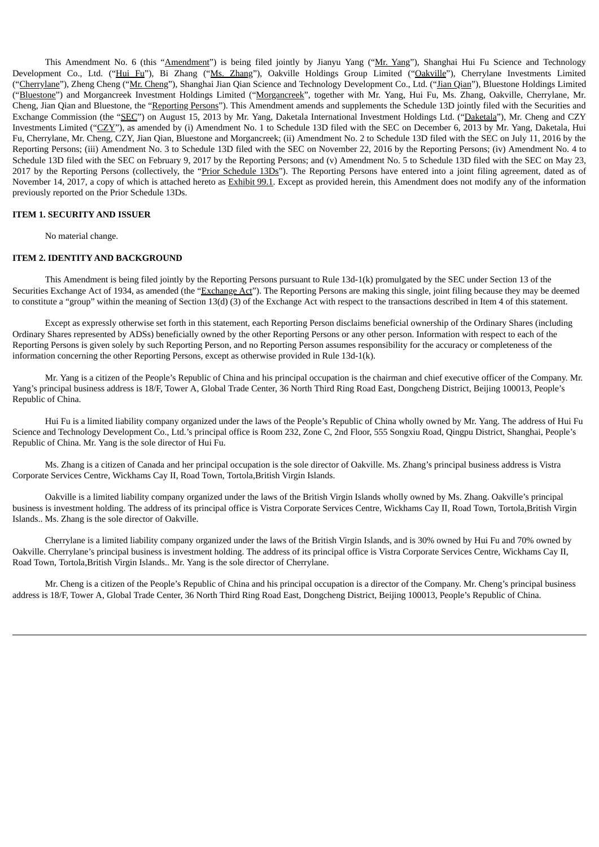This Amendment No. 6 (this "Amendment") is being filed jointly by Jianyu Yang ("Mr. Yang"), Shanghai Hui Fu Science and Technology Development Co., Ltd. ("Hui Fu"), Bi Zhang ("Ms. Zhang"), Oakville Holdings Group Limited ("Oakville"), Cherrylane Investments Limited ("Cherrylane"), Zheng Cheng ("Mr. Cheng"), Shanghai Jian Qian Science and Technology Development Co., Ltd. ("Jian Qian"), Bluestone Holdings Limited ("Bluestone") and Morgancreek Investment Holdings Limited ("Morgancreek", together with Mr. Yang, Hui Fu, Ms. Zhang, Oakville, Cherrylane, Mr. Cheng, Jian Qian and Bluestone, the "Reporting Persons"). This Amendment amends and supplements the Schedule 13D jointly filed with the Securities and Exchange Commission (the "SEC") on August 15, 2013 by Mr. Yang, Daketala International Investment Holdings Ltd. ("Daketala"), Mr. Cheng and CZY Investments Limited ("CZY"), as amended by (i) Amendment No. 1 to Schedule 13D filed with the SEC on December 6, 2013 by Mr. Yang, Daketala, Hui Fu, Cherrylane, Mr. Cheng, CZY, Jian Qian, Bluestone and Morgancreek; (ii) Amendment No. 2 to Schedule 13D filed with the SEC on July 11, 2016 by the Reporting Persons; (iii) Amendment No. 3 to Schedule 13D filed with the SEC on November 22, 2016 by the Reporting Persons; (iv) Amendment No. 4 to Schedule 13D filed with the SEC on February 9, 2017 by the Reporting Persons; and (v) Amendment No. 5 to Schedule 13D filed with the SEC on May 23, 2017 by the Reporting Persons (collectively, the "Prior Schedule 13Ds"). The Reporting Persons have entered into a joint filing agreement, dated as of November 14, 2017, a copy of which is attached hereto as Exhibit 99.1. Except as provided herein, this Amendment does not modify any of the information previously reported on the Prior Schedule 13Ds.

### **ITEM 1. SECURITY AND ISSUER**

No material change.

#### **ITEM 2. IDENTITY AND BACKGROUND**

This Amendment is being filed jointly by the Reporting Persons pursuant to Rule 13d-1(k) promulgated by the SEC under Section 13 of the Securities Exchange Act of 1934, as amended (the "Exchange Act"). The Reporting Persons are making this single, joint filing because they may be deemed to constitute a "group" within the meaning of Section 13(d) (3) of the Exchange Act with respect to the transactions described in Item 4 of this statement.

Except as expressly otherwise set forth in this statement, each Reporting Person disclaims beneficial ownership of the Ordinary Shares (including Ordinary Shares represented by ADSs) beneficially owned by the other Reporting Persons or any other person. Information with respect to each of the Reporting Persons is given solely by such Reporting Person, and no Reporting Person assumes responsibility for the accuracy or completeness of the information concerning the other Reporting Persons, except as otherwise provided in Rule 13d-1(k).

Mr. Yang is a citizen of the People's Republic of China and his principal occupation is the chairman and chief executive officer of the Company. Mr. Yang's principal business address is 18/F, Tower A, Global Trade Center, 36 North Third Ring Road East, Dongcheng District, Beijing 100013, People's Republic of China.

Hui Fu is a limited liability company organized under the laws of the People's Republic of China wholly owned by Mr. Yang. The address of Hui Fu Science and Technology Development Co., Ltd.'s principal office is Room 232, Zone C, 2nd Floor, 555 Songxiu Road, Qingpu District, Shanghai, People's Republic of China. Mr. Yang is the sole director of Hui Fu.

Ms. Zhang is a citizen of Canada and her principal occupation is the sole director of Oakville. Ms. Zhang's principal business address is Vistra Corporate Services Centre, Wickhams Cay II, Road Town, Tortola,British Virgin Islands.

Oakville is a limited liability company organized under the laws of the British Virgin Islands wholly owned by Ms. Zhang. Oakville's principal business is investment holding. The address of its principal office is Vistra Corporate Services Centre, Wickhams Cay II, Road Town, Tortola,British Virgin Islands.. Ms. Zhang is the sole director of Oakville.

Cherrylane is a limited liability company organized under the laws of the British Virgin Islands, and is 30% owned by Hui Fu and 70% owned by Oakville. Cherrylane's principal business is investment holding. The address of its principal office is Vistra Corporate Services Centre, Wickhams Cay II, Road Town, Tortola,British Virgin Islands.. Mr. Yang is the sole director of Cherrylane.

Mr. Cheng is a citizen of the People's Republic of China and his principal occupation is a director of the Company. Mr. Cheng's principal business address is 18/F, Tower A, Global Trade Center, 36 North Third Ring Road East, Dongcheng District, Beijing 100013, People's Republic of China.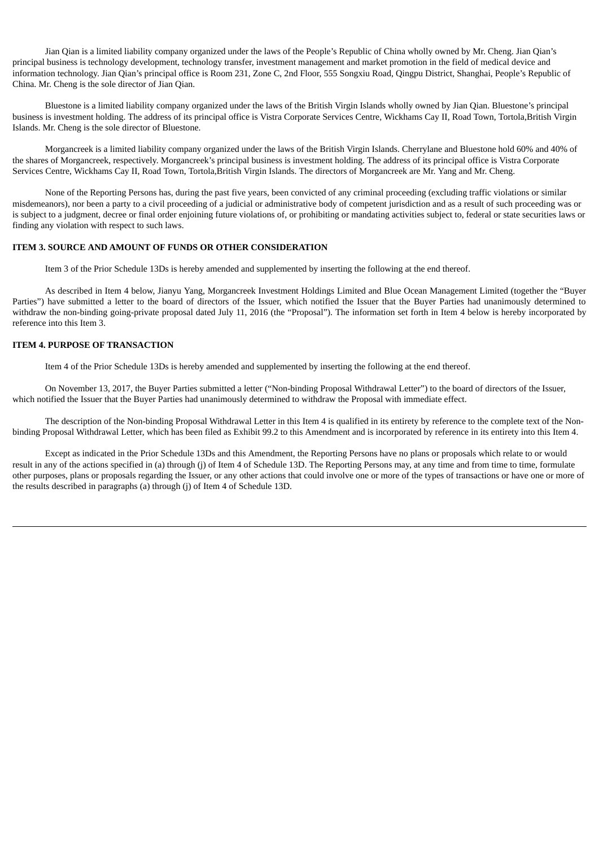Jian Qian is a limited liability company organized under the laws of the People's Republic of China wholly owned by Mr. Cheng. Jian Qian's principal business is technology development, technology transfer, investment management and market promotion in the field of medical device and information technology. Jian Qian's principal office is Room 231, Zone C, 2nd Floor, 555 Songxiu Road, Qingpu District, Shanghai, People's Republic of China. Mr. Cheng is the sole director of Jian Qian.

Bluestone is a limited liability company organized under the laws of the British Virgin Islands wholly owned by Jian Qian. Bluestone's principal business is investment holding. The address of its principal office is Vistra Corporate Services Centre, Wickhams Cay II, Road Town, Tortola,British Virgin Islands. Mr. Cheng is the sole director of Bluestone.

Morgancreek is a limited liability company organized under the laws of the British Virgin Islands. Cherrylane and Bluestone hold 60% and 40% of the shares of Morgancreek, respectively. Morgancreek's principal business is investment holding. The address of its principal office is Vistra Corporate Services Centre, Wickhams Cay II, Road Town, Tortola,British Virgin Islands. The directors of Morgancreek are Mr. Yang and Mr. Cheng.

None of the Reporting Persons has, during the past five years, been convicted of any criminal proceeding (excluding traffic violations or similar misdemeanors), nor been a party to a civil proceeding of a judicial or administrative body of competent jurisdiction and as a result of such proceeding was or is subject to a judgment, decree or final order enjoining future violations of, or prohibiting or mandating activities subject to, federal or state securities laws or finding any violation with respect to such laws.

#### **ITEM 3. SOURCE AND AMOUNT OF FUNDS OR OTHER CONSIDERATION**

Item 3 of the Prior Schedule 13Ds is hereby amended and supplemented by inserting the following at the end thereof.

As described in Item 4 below, Jianyu Yang, Morgancreek Investment Holdings Limited and Blue Ocean Management Limited (together the "Buyer Parties") have submitted a letter to the board of directors of the Issuer, which notified the Issuer that the Buyer Parties had unanimously determined to withdraw the non-binding going-private proposal dated July 11, 2016 (the "Proposal"). The information set forth in Item 4 below is hereby incorporated by reference into this Item 3.

#### **ITEM 4. PURPOSE OF TRANSACTION**

Item 4 of the Prior Schedule 13Ds is hereby amended and supplemented by inserting the following at the end thereof.

On November 13, 2017, the Buyer Parties submitted a letter ("Non-binding Proposal Withdrawal Letter") to the board of directors of the Issuer, which notified the Issuer that the Buyer Parties had unanimously determined to withdraw the Proposal with immediate effect.

The description of the Non-binding Proposal Withdrawal Letter in this Item 4 is qualified in its entirety by reference to the complete text of the Nonbinding Proposal Withdrawal Letter, which has been filed as Exhibit 99.2 to this Amendment and is incorporated by reference in its entirety into this Item 4.

Except as indicated in the Prior Schedule 13Ds and this Amendment, the Reporting Persons have no plans or proposals which relate to or would result in any of the actions specified in (a) through (j) of Item 4 of Schedule 13D. The Reporting Persons may, at any time and from time to time, formulate other purposes, plans or proposals regarding the Issuer, or any other actions that could involve one or more of the types of transactions or have one or more of the results described in paragraphs (a) through (j) of Item 4 of Schedule 13D.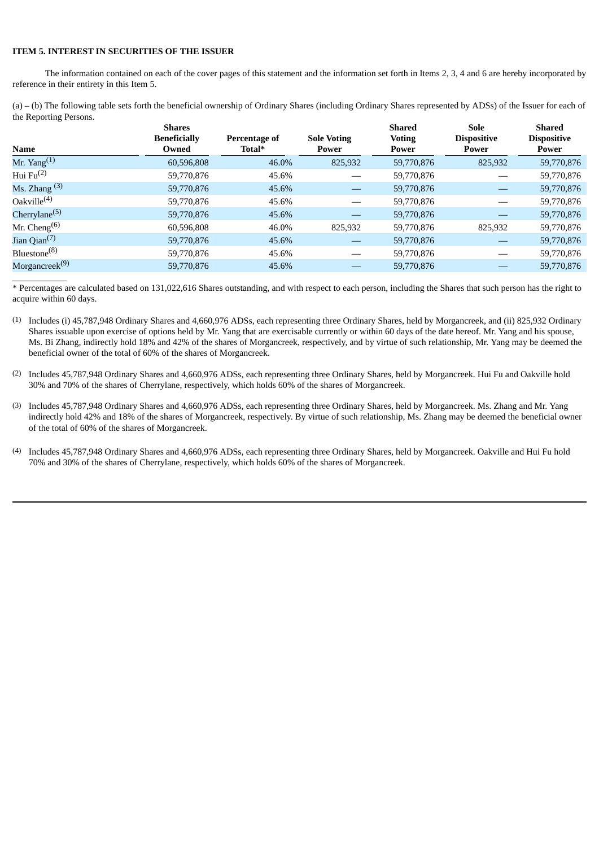### **ITEM 5. INTEREST IN SECURITIES OF THE ISSUER**

The information contained on each of the cover pages of this statement and the information set forth in Items 2, 3, 4 and 6 are hereby incorporated by reference in their entirety in this Item 5.

(a) – (b) The following table sets forth the beneficial ownership of Ordinary Shares (including Ordinary Shares represented by ADSs) of the Issuer for each of the Reporting Persons.

| <b>Name</b>                           | <b>Shares</b><br><b>Beneficially</b><br>Owned | Percentage of<br>Total* | <b>Sole Voting</b><br>Power | <b>Shared</b><br><b>Voting</b><br>Power | Sole<br><b>Dispositive</b><br>Power | <b>Shared</b><br><b>Dispositive</b><br>Power |
|---------------------------------------|-----------------------------------------------|-------------------------|-----------------------------|-----------------------------------------|-------------------------------------|----------------------------------------------|
| Mr. Yang $^{(1)}$                     | 60,596,808                                    | 46.0%                   | 825,932                     | 59,770,876                              | 825,932                             | 59,770,876                                   |
| Hui $Fu^{(2)}$                        | 59,770,876                                    | 45.6%                   |                             | 59,770,876                              |                                     | 59,770,876                                   |
| Ms. Zhang $(3)$                       | 59,770,876                                    | 45.6%                   |                             | 59,770,876                              |                                     | 59,770,876                                   |
| Oakville <sup>(4)</sup>               | 59,770,876                                    | 45.6%                   |                             | 59,770,876                              |                                     | 59,770,876                                   |
| Cherrylane <sup>(5)</sup>             | 59,770,876                                    | 45.6%                   |                             | 59,770,876                              |                                     | 59,770,876                                   |
| Mr. Cheng <sup><math>(6)</math></sup> | 60,596,808                                    | 46.0%                   | 825,932                     | 59,770,876                              | 825,932                             | 59,770,876                                   |
| Jian Qian <sup>(7)</sup>              | 59,770,876                                    | 45.6%                   |                             | 59,770,876                              |                                     | 59,770,876                                   |
| Bluestone <sup>(8)</sup>              | 59,770,876                                    | 45.6%                   |                             | 59,770,876                              |                                     | 59,770,876                                   |
| Morgancreek <sup>(9)</sup>            | 59,770,876                                    | 45.6%                   |                             | 59,770,876                              |                                     | 59,770,876                                   |
|                                       |                                               |                         |                             |                                         |                                     |                                              |

\* Percentages are calculated based on 131,022,616 Shares outstanding, and with respect to each person, including the Shares that such person has the right to acquire within 60 days.

- (1) Includes (i) 45,787,948 Ordinary Shares and 4,660,976 ADSs, each representing three Ordinary Shares, held by Morgancreek, and (ii) 825,932 Ordinary Shares issuable upon exercise of options held by Mr. Yang that are exercisable currently or within 60 days of the date hereof. Mr. Yang and his spouse, Ms. Bi Zhang, indirectly hold 18% and 42% of the shares of Morgancreek, respectively, and by virtue of such relationship, Mr. Yang may be deemed the beneficial owner of the total of 60% of the shares of Morgancreek.
- (2) Includes 45,787,948 Ordinary Shares and 4,660,976 ADSs, each representing three Ordinary Shares, held by Morgancreek. Hui Fu and Oakville hold 30% and 70% of the shares of Cherrylane, respectively, which holds 60% of the shares of Morgancreek.
- (3) Includes 45,787,948 Ordinary Shares and 4,660,976 ADSs, each representing three Ordinary Shares, held by Morgancreek. Ms. Zhang and Mr. Yang indirectly hold 42% and 18% of the shares of Morgancreek, respectively. By virtue of such relationship, Ms. Zhang may be deemed the beneficial owner of the total of 60% of the shares of Morgancreek.
- (4) Includes 45,787,948 Ordinary Shares and 4,660,976 ADSs, each representing three Ordinary Shares, held by Morgancreek. Oakville and Hui Fu hold 70% and 30% of the shares of Cherrylane, respectively, which holds 60% of the shares of Morgancreek.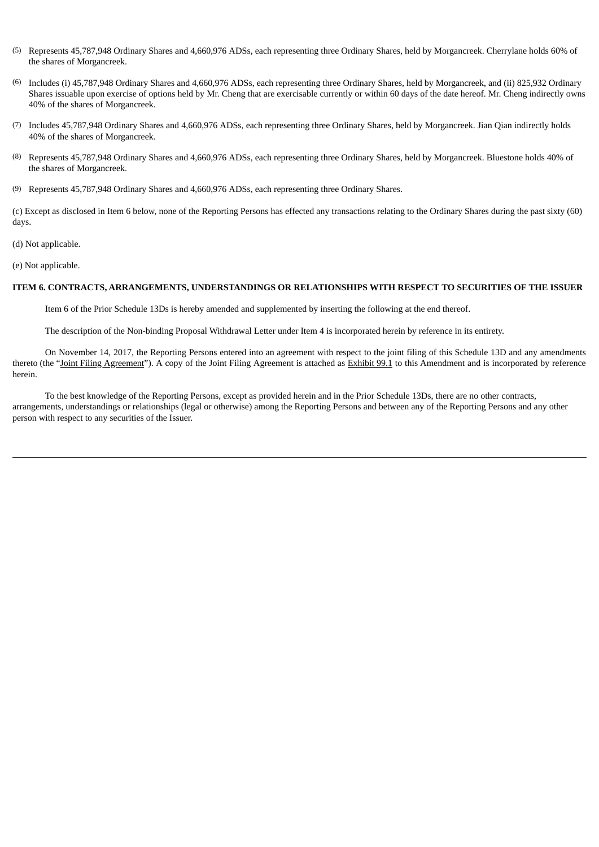- (5) Represents 45,787,948 Ordinary Shares and 4,660,976 ADSs, each representing three Ordinary Shares, held by Morgancreek. Cherrylane holds 60% of the shares of Morgancreek.
- (6) Includes (i) 45,787,948 Ordinary Shares and 4,660,976 ADSs, each representing three Ordinary Shares, held by Morgancreek, and (ii) 825,932 Ordinary Shares issuable upon exercise of options held by Mr. Cheng that are exercisable currently or within 60 days of the date hereof. Mr. Cheng indirectly owns 40% of the shares of Morgancreek.
- (7) Includes 45,787,948 Ordinary Shares and 4,660,976 ADSs, each representing three Ordinary Shares, held by Morgancreek. Jian Qian indirectly holds 40% of the shares of Morgancreek.
- (8) Represents 45,787,948 Ordinary Shares and 4,660,976 ADSs, each representing three Ordinary Shares, held by Morgancreek. Bluestone holds 40% of the shares of Morgancreek.
- (9) Represents 45,787,948 Ordinary Shares and 4,660,976 ADSs, each representing three Ordinary Shares.

(c) Except as disclosed in Item 6 below, none of the Reporting Persons has effected any transactions relating to the Ordinary Shares during the past sixty (60) days.

(d) Not applicable.

(e) Not applicable.

#### **ITEM 6. CONTRACTS, ARRANGEMENTS, UNDERSTANDINGS OR RELATIONSHIPS WITH RESPECT TO SECURITIES OF THE ISSUER**

Item 6 of the Prior Schedule 13Ds is hereby amended and supplemented by inserting the following at the end thereof.

The description of the Non-binding Proposal Withdrawal Letter under Item 4 is incorporated herein by reference in its entirety.

On November 14, 2017, the Reporting Persons entered into an agreement with respect to the joint filing of this Schedule 13D and any amendments thereto (the "Joint Filing Agreement"). A copy of the Joint Filing Agreement is attached as Exhibit 99.1 to this Amendment and is incorporated by reference herein.

To the best knowledge of the Reporting Persons, except as provided herein and in the Prior Schedule 13Ds, there are no other contracts, arrangements, understandings or relationships (legal or otherwise) among the Reporting Persons and between any of the Reporting Persons and any other person with respect to any securities of the Issuer.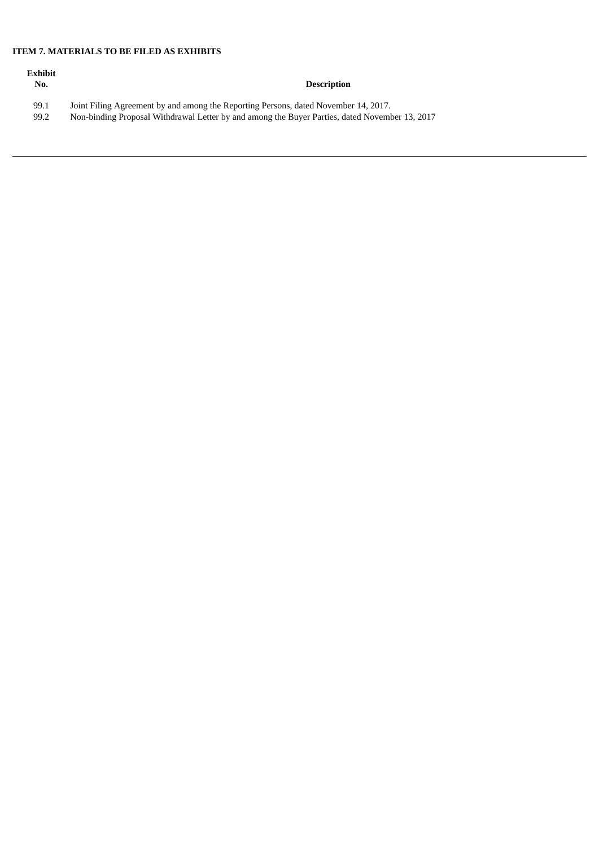# **ITEM 7. MATERIALS TO BE FILED AS EXHIBITS**

| Exhibit<br>No. | <b>Description</b>                                                                             |
|----------------|------------------------------------------------------------------------------------------------|
| 99.1           | Joint Filing Agreement by and among the Reporting Persons, dated November 14, 2017.            |
| 99.2           | Non-binding Proposal Withdrawal Letter by and among the Buyer Parties, dated November 13, 2017 |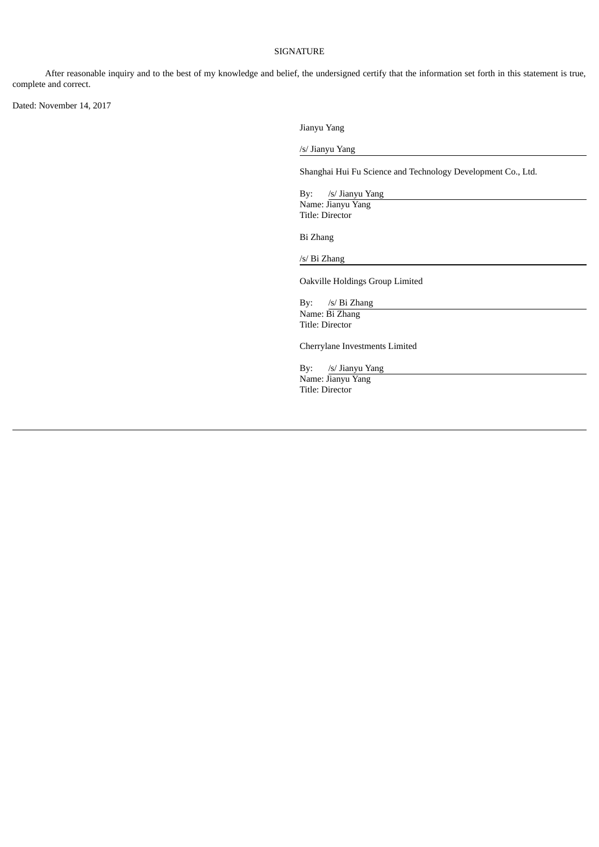#### SIGNATURE

After reasonable inquiry and to the best of my knowledge and belief, the undersigned certify that the information set forth in this statement is true, complete and correct.

Dated: November 14, 2017

Jianyu Yang

/s/ Jianyu Yang

Shanghai Hui Fu Science and Technology Development Co., Ltd.

By: /s/ Jianyu Yang Name: Jianyu Yang Title: Director

Bi Zhang

/s/ Bi Zhang

Oakville Holdings Group Limited

By: /s/ Bi Zhang Name: Bi Zhang Title: Director

Cherrylane Investments Limited

By: /s/ Jianyu Yang Name: Jianyu Yang Title: Director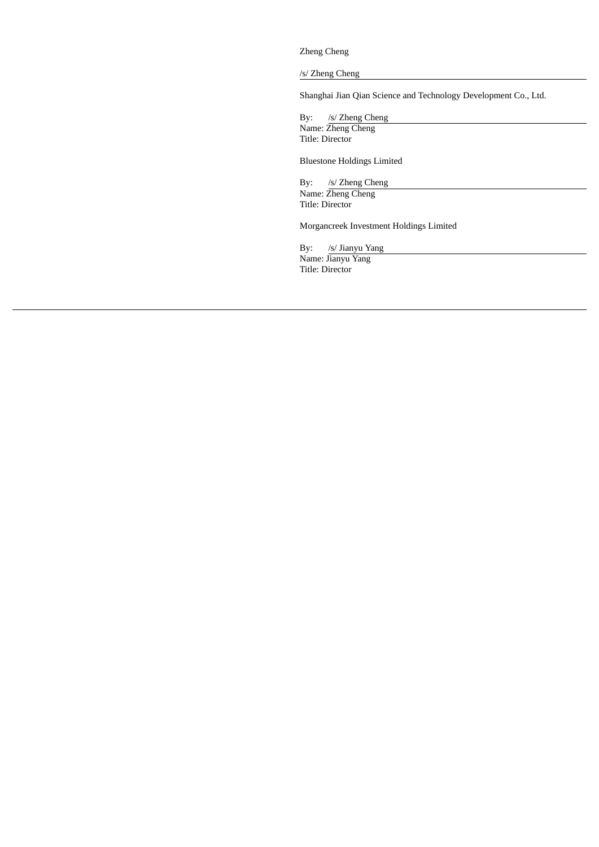Zheng Cheng

/s/ Zheng Cheng

Shanghai Jian Qian Science and Technology Development Co., Ltd.

By: /s/ Zheng Cheng Name: Zheng Cheng Title: Director

Bluestone Holdings Limited

By: /s/ Zheng Cheng Name: Zheng Cheng Title: Director

Morgancreek Investment Holdings Limited

By: /s/ Jianyu Yang Name: Jianyu Yang Title: Director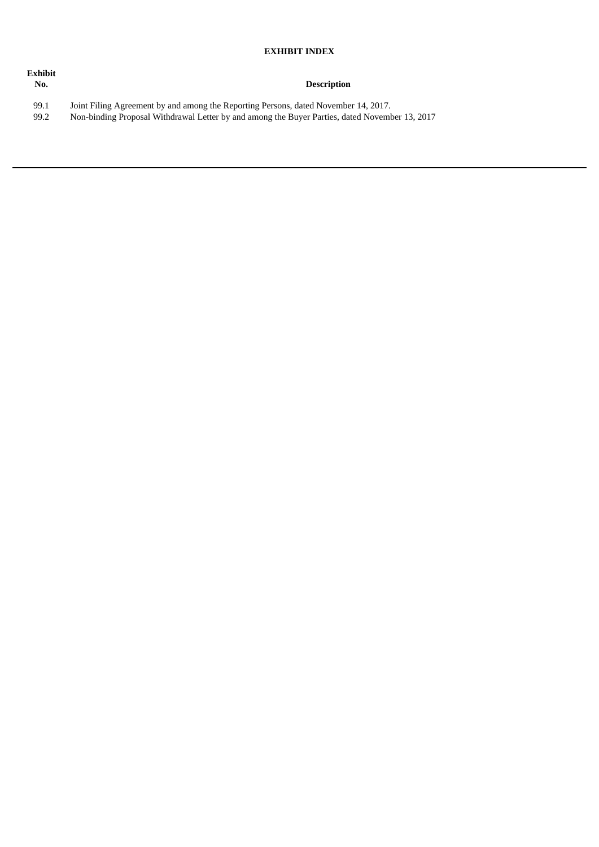# **EXHIBIT INDEX**

| Exhibit<br>No. | <b>Description</b>                                                                             |
|----------------|------------------------------------------------------------------------------------------------|
| 99.1           | Joint Filing Agreement by and among the Reporting Persons, dated November 14, 2017.            |
| 99.2           | Non-binding Proposal Withdrawal Letter by and among the Buyer Parties, dated November 13, 2017 |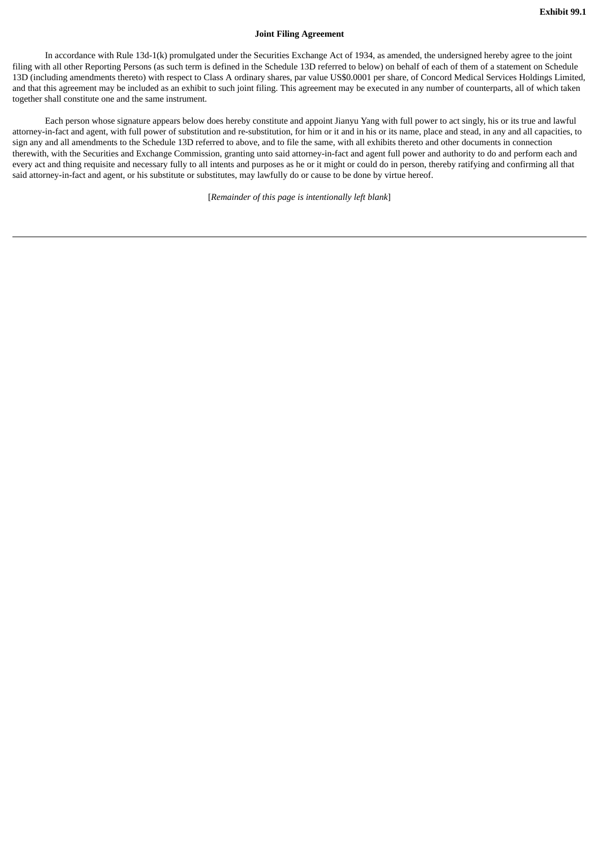#### **Joint Filing Agreement**

In accordance with Rule 13d-1(k) promulgated under the Securities Exchange Act of 1934, as amended, the undersigned hereby agree to the joint filing with all other Reporting Persons (as such term is defined in the Schedule 13D referred to below) on behalf of each of them of a statement on Schedule 13D (including amendments thereto) with respect to Class A ordinary shares, par value US\$0.0001 per share, of Concord Medical Services Holdings Limited, and that this agreement may be included as an exhibit to such joint filing. This agreement may be executed in any number of counterparts, all of which taken together shall constitute one and the same instrument.

Each person whose signature appears below does hereby constitute and appoint Jianyu Yang with full power to act singly, his or its true and lawful attorney-in-fact and agent, with full power of substitution and re-substitution, for him or it and in his or its name, place and stead, in any and all capacities, to sign any and all amendments to the Schedule 13D referred to above, and to file the same, with all exhibits thereto and other documents in connection therewith, with the Securities and Exchange Commission, granting unto said attorney-in-fact and agent full power and authority to do and perform each and every act and thing requisite and necessary fully to all intents and purposes as he or it might or could do in person, thereby ratifying and confirming all that said attorney-in-fact and agent, or his substitute or substitutes, may lawfully do or cause to be done by virtue hereof.

[*Remainder of this page is intentionally left blank*]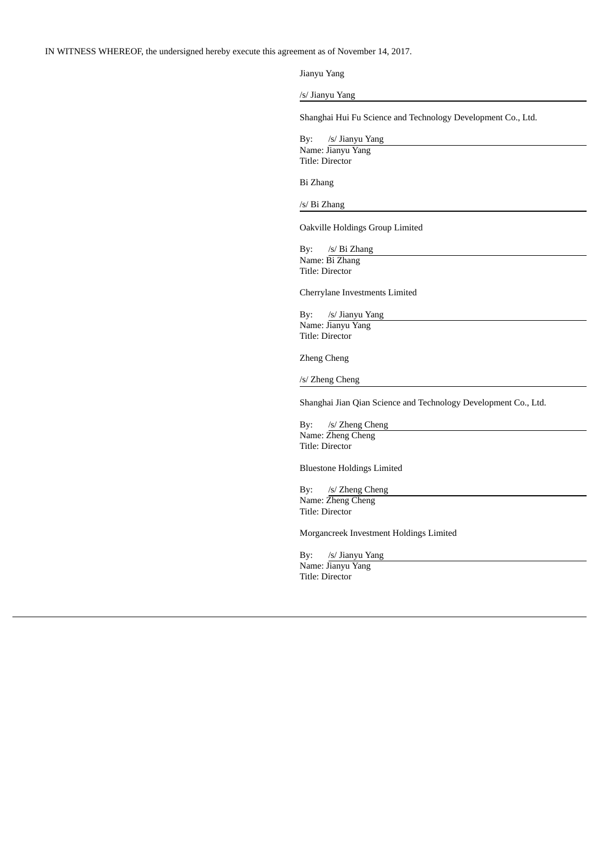IN WITNESS WHEREOF, the undersigned hereby execute this agreement as of November 14, 2017.

Jianyu Yang

/s/ Jianyu Yang

Shanghai Hui Fu Science and Technology Development Co., Ltd.

By: /s/ Jianyu Yang Name: Jianyu Yang Title: Director

Bi Zhang

/s/ Bi Zhang

Oakville Holdings Group Limited

By: /s/ Bi Zhang Name: Bi Zhang Title: Director

Cherrylane Investments Limited

By: /s/ Jianyu Yang Name: Jianyu Yang Title: Director

Zheng Cheng

/s/ Zheng Cheng

Shanghai Jian Qian Science and Technology Development Co., Ltd.

By: /s/ Zheng Cheng Name: Zheng Cheng Title: Director

Bluestone Holdings Limited

By: /s/ Zheng Cheng Name: Zheng Cheng

Title: Director

Morgancreek Investment Holdings Limited

By: /s/ Jianyu Yang Name: Jianyu Yang Title: Director